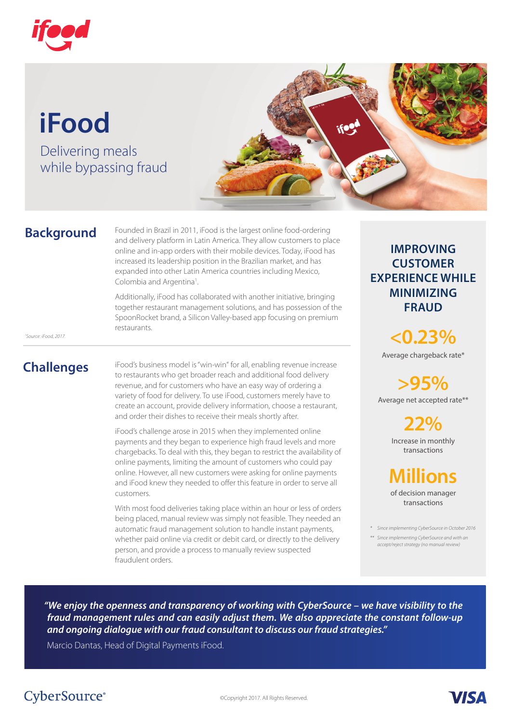

# **iFood**

Delivering meals while bypassing fraud



### **Background**

Founded in Brazil in 2011, iFood is the largest online food-ordering and delivery platform in Latin America. They allow customers to place online and in-app orders with their mobile devices. Today, iFood has increased its leadership position in the Brazilian market, and has expanded into other Latin America countries including Mexico, Colombia and Argentina<sup>1</sup>. .

Additionally, iFood has collaborated with another initiative, bringing together restaurant management solutions, and has possession of the SpoonRocket brand, a Silicon Valley-based app focusing on premium restaurants.

*1 Source: iFood, 2017.* 

### **Challenges**

iFood's business model is "win-win" for all, enabling revenue increase to restaurants who get broader reach and additional food delivery revenue, and for customers who have an easy way of ordering a variety of food for delivery. To use iFood, customers merely have to create an account, provide delivery information, choose a restaurant, and order their dishes to receive their meals shortly after.

iFood's challenge arose in 2015 when they implemented online payments and they began to experience high fraud levels and more chargebacks. To deal with this, they began to restrict the availability of online payments, limiting the amount of customers who could pay online. However, all new customers were asking for online payments and iFood knew they needed to offer this feature in order to serve all customers.

With most food deliveries taking place within an hour or less of orders being placed, manual review was simply not feasible. They needed an automatic fraud management solution to handle instant payments, whether paid online via credit or debit card, or directly to the delivery person, and provide a process to manually review suspected fraudulent orders.

#### **IMPROVING CUSTOMER EXPERIENCE WHILE MINIMIZING FRAUD**

Average chargeback rate\* **<0.23%** 

Average net accepted rate\*\* **>95%** 

> Increase in monthly transactions **22%**

## **Millions**

of decision manager transactions

*\* Since implementing CyberSource in October 2016* 

**VISA** 

*\*\* Since implementing CyberSource and with an accept/reject strategy (no manual review)*

*"We enjoy the openness and transparency of working with CyberSource – we have visibility to the fraud management rules and can easily adjust them. We also appreciate the constant follow-up and ongoing dialogue with our fraud consultant to discuss our fraud strategies."* 

Marcio Dantas, Head of Digital Payments iFood.

### CyberSource®